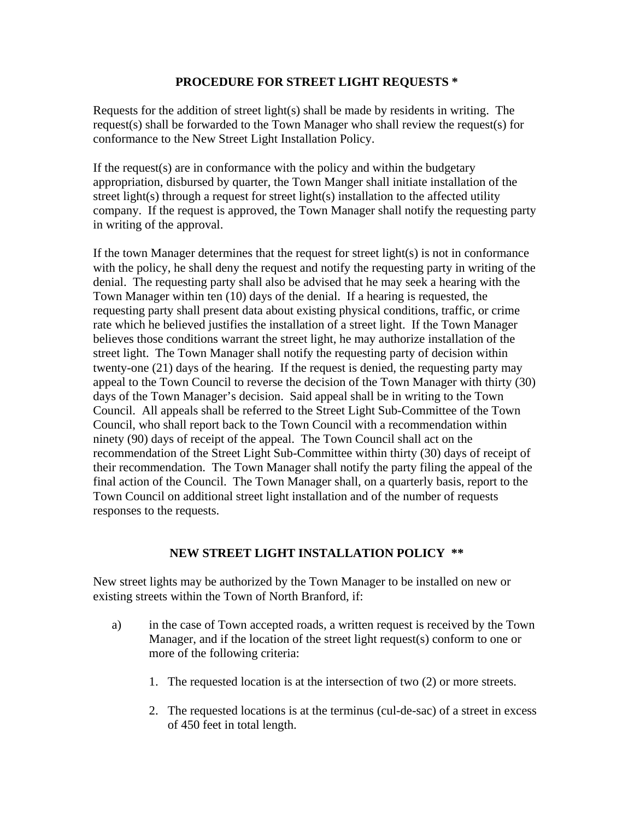## **PROCEDURE FOR STREET LIGHT REQUESTS \***

Requests for the addition of street light(s) shall be made by residents in writing. The request(s) shall be forwarded to the Town Manager who shall review the request(s) for conformance to the New Street Light Installation Policy.

If the request(s) are in conformance with the policy and within the budgetary appropriation, disbursed by quarter, the Town Manger shall initiate installation of the street light(s) through a request for street light(s) installation to the affected utility company. If the request is approved, the Town Manager shall notify the requesting party in writing of the approval.

If the town Manager determines that the request for street light(s) is not in conformance with the policy, he shall deny the request and notify the requesting party in writing of the denial. The requesting party shall also be advised that he may seek a hearing with the Town Manager within ten (10) days of the denial. If a hearing is requested, the requesting party shall present data about existing physical conditions, traffic, or crime rate which he believed justifies the installation of a street light. If the Town Manager believes those conditions warrant the street light, he may authorize installation of the street light. The Town Manager shall notify the requesting party of decision within twenty-one (21) days of the hearing. If the request is denied, the requesting party may appeal to the Town Council to reverse the decision of the Town Manager with thirty (30) days of the Town Manager's decision. Said appeal shall be in writing to the Town Council. All appeals shall be referred to the Street Light Sub-Committee of the Town Council, who shall report back to the Town Council with a recommendation within ninety (90) days of receipt of the appeal. The Town Council shall act on the recommendation of the Street Light Sub-Committee within thirty (30) days of receipt of their recommendation. The Town Manager shall notify the party filing the appeal of the final action of the Council. The Town Manager shall, on a quarterly basis, report to the Town Council on additional street light installation and of the number of requests responses to the requests.

## **NEW STREET LIGHT INSTALLATION POLICY \*\***

New street lights may be authorized by the Town Manager to be installed on new or existing streets within the Town of North Branford, if:

- a) in the case of Town accepted roads, a written request is received by the Town Manager, and if the location of the street light request(s) conform to one or more of the following criteria:
	- 1. The requested location is at the intersection of two (2) or more streets.
	- 2. The requested locations is at the terminus (cul-de-sac) of a street in excess of 450 feet in total length.